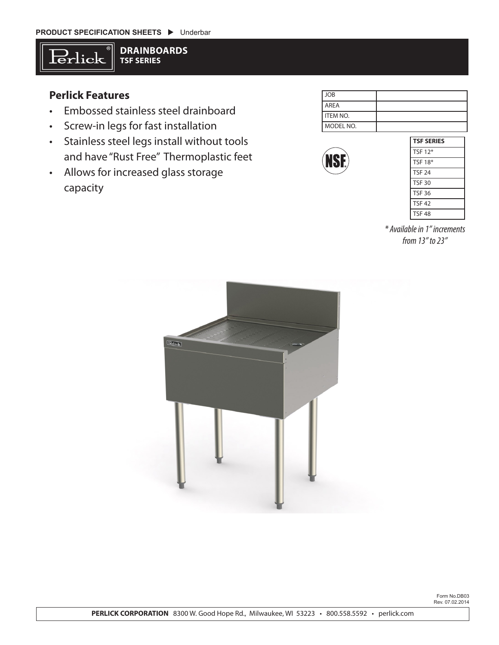

**DRAINBOARDS TSF SERIES**

## **Perlick Features**

- Embossed stainless steel drainboard
- Screw-in legs for fast installation
- Stainless steel legs install without tools and have "Rust Free" Thermoplastic feet
- Allows for increased glass storage capacity

| $I$ JOB           |  |
|-------------------|--|
| <b>LAREA</b>      |  |
| <b>I</b> ITEM NO. |  |
| MODEL NO.         |  |



| <b>TSF SERIES</b> |  |
|-------------------|--|
| <b>TSF 12*</b>    |  |
| <b>TSF 18*</b>    |  |
| <b>TSF 24</b>     |  |
| <b>TSF 30</b>     |  |
| <b>TSF 36</b>     |  |
| <b>TSF 42</b>     |  |
| <b>TSF 48</b>     |  |
|                   |  |

*\* Available in 1" increments from 13" to 23"*



Form No.DB03 Rev. 07.02.2014